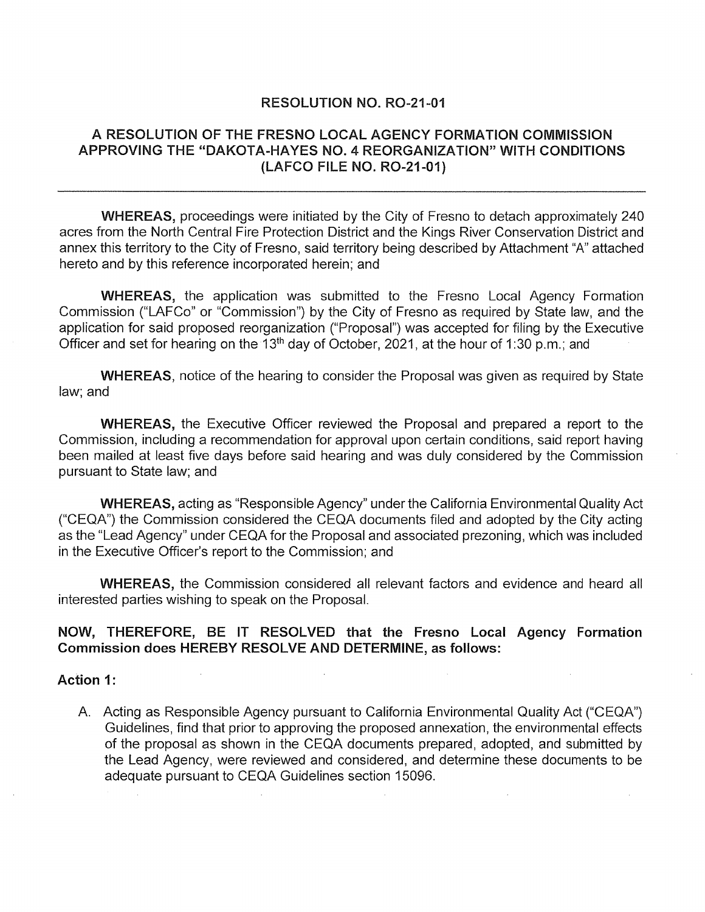#### RESOLUTION NO. R0-21-01

## A RESOLUTION OF THE FRESNO LOCAL AGENCY FORMATION COMMISSION APPROVING THE "DAKOTA-HAYES NO. 4 REORGANIZATION" WITH CONDITIONS (LAFCO FILE NO. R0-21-01)

WHEREAS, proceedings were initiated by the City of Fresno to detach approximately 240 acres from the North Central Fire Protection District and the Kings River Conservation District and annex this territory to the City of Fresno, said territory being described by Attachment "A" attached hereto and by this reference incorporated herein; and

WHEREAS, the application was submitted to the Fresno Local Agency Formation Commission ("LAFCo" or "Commission") by the City of Fresno as required by State law, and the application for said proposed reorganization ("Proposal") was accepted for filing by the Executive Officer and set for hearing on the 13<sup>th</sup> day of October, 2021, at the hour of 1:30 p.m.; and

WHEREAS, notice of the hearing to consider the Proposal was given as required by State law; and

WHEREAS, the Executive Officer reviewed the Proposal and prepared a report to the Commission, including a recommendation for approval upon certain conditions, said report having been mailed at least five days before said hearing and was duly considered by the Commission pursuant to State law; and

WHEREAS, acting as "Responsible Agency" under the California Environmental Quality Act ("CEQA") the Commission considered the CEQA documents filed and adopted by the City acting as the "Lead Agency" under CEQA for the Proposal and associated prezoning, which was included in the Executive Officer's report to the Commission; and

WHEREAS, the Commission considered all relevant factors and evidence and heard all interested parties wishing to speak on the Proposal.

#### NOW, THEREFORE, BE IT RESOLVED that the Fresno Local Agency Formation Commission does HEREBY RESOLVE AND DETERMINE, as follows:

Action 1:

A. Acting as Responsible Agency pursuant to California Environmental Quality Act ("CEQA") Guidelines, find that prior to approving the proposed annexation, the environmental effects of the proposal as shown in the CEQA documents prepared, adopted, and submitted by the Lead Agency, were reviewed and considered, and determine these documents to be adequate pursuant to CEQA Guidelines section 15096.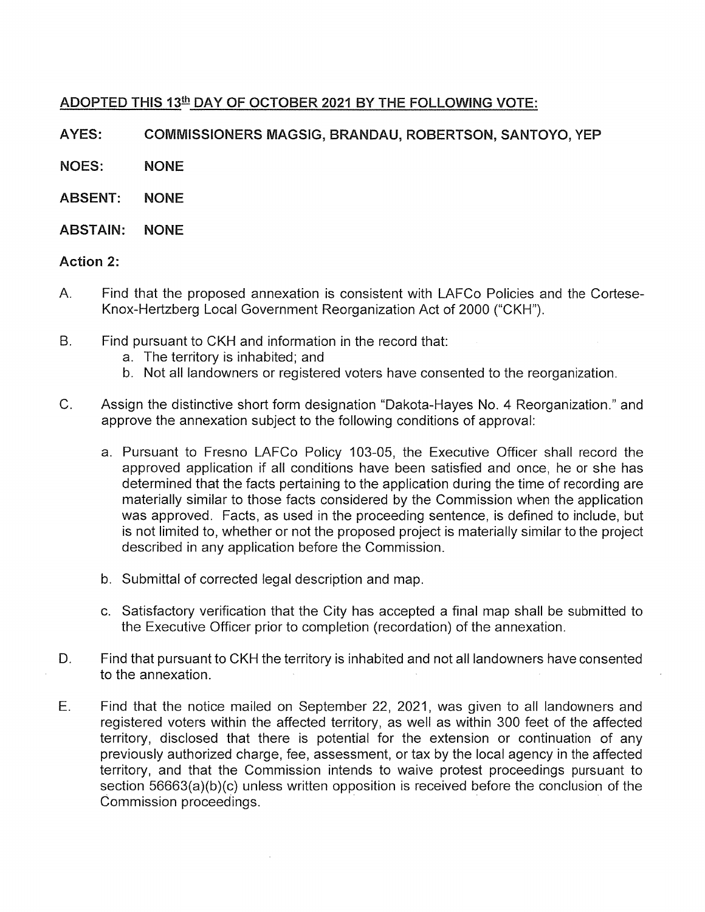## ADOPTED THIS 13th DAY OF OCTOBER 2021 BY THE FOLLOWING VOTE:

A YES: COMMISSIONERS MAGSIG, BRANDAU, ROBERTSON, SANTOYO, YEP

NOES: NONE

- ABSENT: NONE
- ABSTAIN: NONE

#### Action 2:

- A. Find that the proposed annexation is consistent with LAFCo Policies and the Cortese-Knox-Hertzberg Local Government Reorganization Act of 2000 ("CKH").
- B. Find pursuant to CKH and information in the record that:
	- a. The territory is inhabited; and
	- b. Not all landowners or registered voters have consented to the reorganization.
- C. Assign the distinctive short form designation "Dakota-Hayes No. 4 Reorganization." and approve the annexation subject to the following conditions of approval:
	- a. Pursuant to Fresno LAFCo Policy 103-05, the Executive Officer shall record the approved application if all conditions have been satisfied and once, he or she has determined that the facts pertaining to the application during the time of recording are materially similar to those facts considered by the Commission when the application was approved. Facts, as used in the proceeding sentence, is defined to include, but is not limited to, whether or not the proposed project is materially similar to the project described in any application before the Commission.
	- b. Submittal of corrected legal description and map.
	- c. Satisfactory verification that the City has accepted a final map shall be submitted to the Executive Officer prior to completion (recordation) of the annexation.
- D. Find that pursuant to CKH the territory is inhabited and not all landowners have consented to the annexation.
- E. Find that the notice mailed on September 22, 2021, was given to all landowners and registered voters within the affected territory, as well as within 300 feet of the affected territory, disclosed that there is potential for the extension or continuation of any previously authorized charge, fee, assessment, or tax by the local agency in the affected territory, and that the Commission intends to waive protest proceedings pursuant to section 56663(a)(b)(c) unless written opposition is received before the conclusion of the Commission proceedings. ·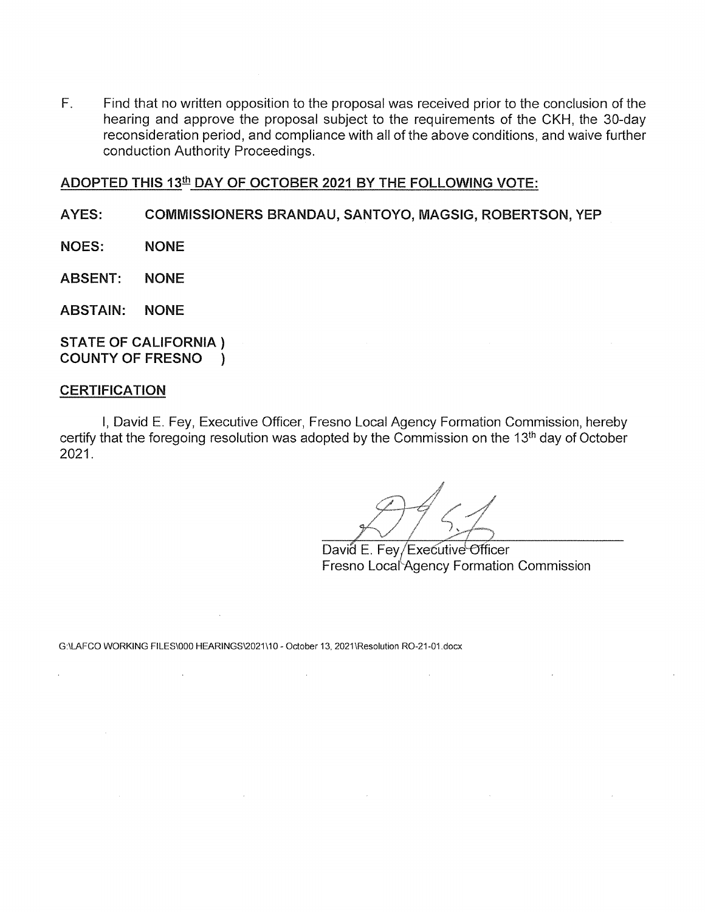F. Find that no written opposition to the proposal was received prior to the conclusion of the hearing and approve the proposal subject to the requirements of the CKH, the 30-day reconsideration period, and compliance with all of the above conditions, and waive further conduction Authority Proceedings.

### ADOPTED THIS 13<sup>th</sup> DAY OF OCTOBER 2021 BY THE FOLLOWING VOTE:

#### A YES: COMMISSIONERS BRANDAU, SANTOYO, MAGSIG, ROBERTSON, YEP

- NOES: NONE
- ABSENT: NONE

ABSTAIN: NONE

STATE OF CALIFORNIA) COUNTY OF FRESNO )

#### **CERTIFICATION**

 $\Delta$ 

 $\sim 10$ 

I, David E. Fey, Executive Officer, Fresno Local Agency Formation Commission, hereby certify that the foregoing resolution was adopted by the Commission on the 13<sup>th</sup> day of October 2021.

 $\sim 10^{-11}$ 

 $\sim 10^{-10}$ 

David E. Fey/Executive Officer Fresno Local Agency Formation Commission

 $\sim$ 

G:\LAFCO WORKING FILES\000 HEARINGS\2021\10 - October 13, 2021\Resolution R0-21-01.docx

 $\sim 10^{-11}$ 

 $\sim 10^{11}$ 

 $\mathcal{L}_{\rm{max}}$